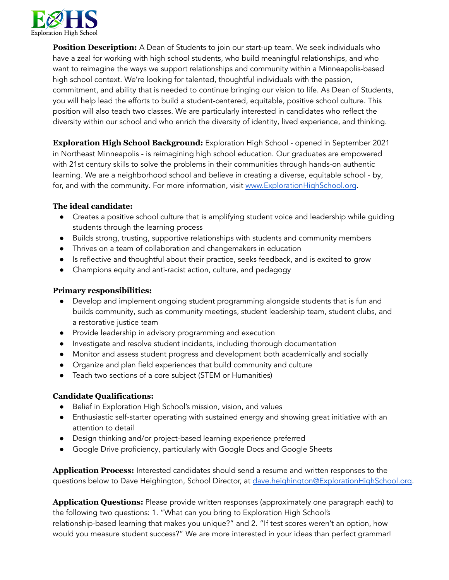

**Position Description:** A Dean of Students to join our start-up team. We seek individuals who have a zeal for working with high school students, who build meaningful relationships, and who want to reimagine the ways we support relationships and community within a Minneapolis-based high school context. We're looking for talented, thoughtful individuals with the passion, commitment, and ability that is needed to continue bringing our vision to life. As Dean of Students, you will help lead the efforts to build a student-centered, equitable, positive school culture. This position will also teach two classes. We are particularly interested in candidates who reflect the diversity within our school and who enrich the diversity of identity, lived experience, and thinking.

**Exploration High School Background:** Exploration High School - opened in September 2021 in Northeast Minneapolis - is reimagining high school education. Our graduates are empowered with 21st century skills to solve the problems in their communities through hands-on authentic learning. We are a neighborhood school and believe in creating a diverse, equitable school - by, for, and with the community. For more information, visit [www.ExplorationHighSchool.org](http://www.explorationhighschool.org).

## **The ideal candidate:**

- Creates a positive school culture that is amplifying student voice and leadership while quiding students through the learning process
- Builds strong, trusting, supportive relationships with students and community members
- Thrives on a team of collaboration and changemakers in education
- Is reflective and thoughtful about their practice, seeks feedback, and is excited to grow
- Champions equity and anti-racist action, culture, and pedagogy

## **Primary responsibilities:**

- Develop and implement ongoing student programming alongside students that is fun and builds community, such as community meetings, student leadership team, student clubs, and a restorative justice team
- Provide leadership in advisory programming and execution
- Investigate and resolve student incidents, including thorough documentation
- Monitor and assess student progress and development both academically and socially
- Organize and plan field experiences that build community and culture
- Teach two sections of a core subject (STEM or Humanities)

## **Candidate Qualifications:**

- Belief in Exploration High School's mission, vision, and values
- Enthusiastic self-starter operating with sustained energy and showing great initiative with an attention to detail
- Design thinking and/or project-based learning experience preferred
- Google Drive proficiency, particularly with Google Docs and Google Sheets

**Application Process:** Interested candidates should send a resume and written responses to the questions below to Dave Heighington, School Director, at [dave.heighington@ExplorationHighSchool.org.](mailto:dave.heighington@ExplorationHighSchool.org)

**Application Questions:** Please provide written responses (approximately one paragraph each) to the following two questions: 1. "What can you bring to Exploration High School's relationship-based learning that makes you unique?" and 2. "If test scores weren't an option, how would you measure student success?" We are more interested in your ideas than perfect grammar!